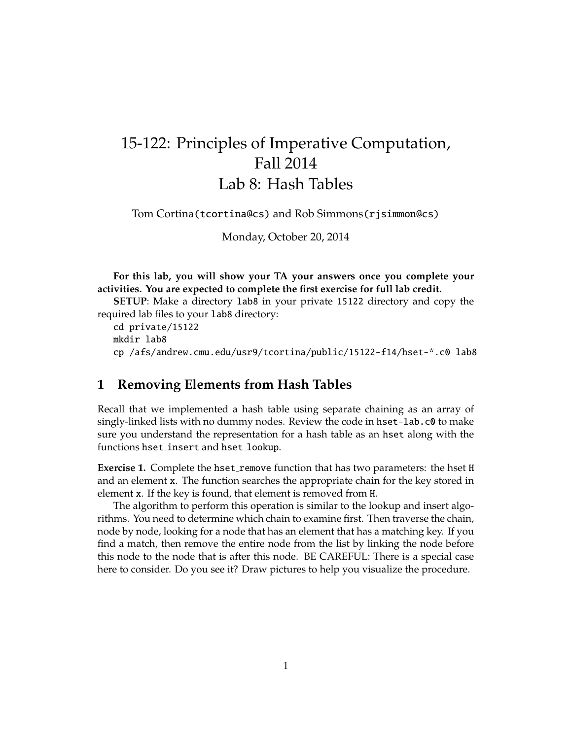## 15-122: Principles of Imperative Computation, Fall 2014 Lab 8: Hash Tables

Tom Cortina(tcortina@cs) and Rob Simmons(rjsimmon@cs)

Monday, October 20, 2014

**For this lab, you will show your TA your answers once you complete your activities. You are expected to complete the first exercise for full lab credit.**

**SETUP**: Make a directory lab8 in your private 15122 directory and copy the required lab files to your lab8 directory:

cd private/15122 mkdir lab8 cp /afs/andrew.cmu.edu/usr9/tcortina/public/15122-f14/hset-\*.c0 lab8

## **1 Removing Elements from Hash Tables**

Recall that we implemented a hash table using separate chaining as an array of singly-linked lists with no dummy nodes. Review the code in hset-lab.c0 to make sure you understand the representation for a hash table as an hset along with the functions hset insert and hset lookup.

**Exercise 1.** Complete the hset\_remove function that has two parameters: the hset H and an element x. The function searches the appropriate chain for the key stored in element x. If the key is found, that element is removed from H.

The algorithm to perform this operation is similar to the lookup and insert algorithms. You need to determine which chain to examine first. Then traverse the chain, node by node, looking for a node that has an element that has a matching key. If you find a match, then remove the entire node from the list by linking the node before this node to the node that is after this node. BE CAREFUL: There is a special case here to consider. Do you see it? Draw pictures to help you visualize the procedure.